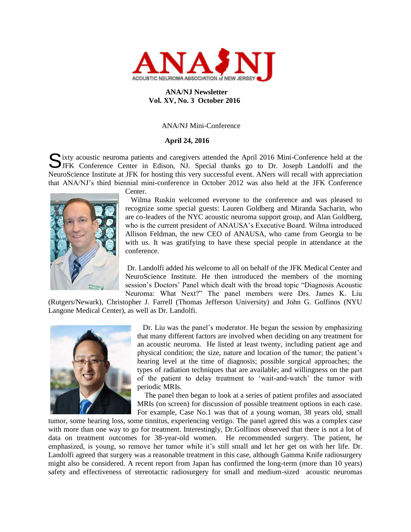

# **ANA/NJ Newsletter Vol. XV, No. 3 October 2016**

## ANA/NJ Mini-Conference

## **April 24, 2016**

ixty acoustic neuroma patients and caregivers attended the April 2016 Mini-Conference held at the Sixty acoustic neuroma patients and caregivers attended the April 2016 Mini-Conference held at the JJFK Conference Center in Edison, NJ. Special thanks go to Dr. Joseph Landolfi and the NeuroScience Institute at JFK for hosting this very successful event. ANers will recall with appreciation that ANA/NJ's third biennial mini-conference in October 2012 was also held at the JFK Conference



Center.

 Wilma Ruskin welcomed everyone to the conference and was pleased to recognize some special guests: Lauren Goldberg and Miranda Sacharin, who are co-leaders of the NYC acoustic neuroma support group, and Alan Goldberg, who is the current president of ANAUSA's Executive Board. Wilma introduced Allison Feldman, the new CEO of ANAUSA, who came from Georgia to be with us. It was gratifying to have these special people in attendance at the conference.

Dr. Landolfi added his welcome to all on behalf of the JFK Medical Center and NeuroScience Institute. He then introduced the members of the morning session's Doctors' Panel which dealt with the broad topic "Diagnosis Acoustic Neuroma: What Next?" The panel members were Drs. James K. Liu

(Rutgers/Newark), Christopher J. Farrell (Thomas Jefferson University) and John G. Golfinos (NYU Langone Medical Center), as well as Dr. Landolfi.



 Dr. Liu was the panel's moderator. He began the session by emphasizing that many different factors are involved when deciding on any treatment for an acoustic neuroma. He listed at least twenty, including patient age and physical condition; the size, nature and location of the tumor; the patient's hearing level at the time of diagnosis; possible surgical approaches; the types of radiation techniques that are available; and willingness on the part of the patient to delay treatment to 'wait-and-watch' the tumor with periodic MRIs.

 The panel then began to look at a series of patient profiles and associated MRIs (on screen) for discussion of possible treatment options in each case. For example, Case No.1 was that of a young woman, 38 years old, small

tumor, some hearing loss, some tinnitus, experiencing vertigo. The panel agreed this was a complex case with more than one way to go for treatment. Interestingly, Dr.Golfinos observed that there is not a lot of data on treatment outcomes for 38-year-old women. He recommended surgery. The patient, he emphasized, is young, so remove her tumor while it's still small and let her get on with her life. Dr. Landolfi agreed that surgery was a reasonable treatment in this case, although Gamma Knife radiosurgery might also be considered. A recent report from Japan has confirmed the long-term (more than 10 years) safety and effectiveness of stereotactic radiosurgery for small and medium-sized acoustic neuromas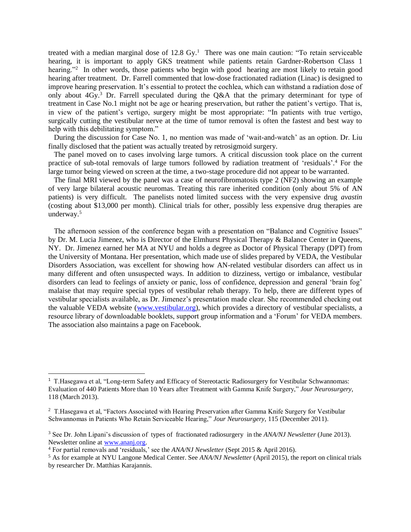treated with a median marginal dose of  $12.8 \text{ Gy}$ .<sup>1</sup> There was one main caution: "To retain serviceable hearing, it is important to apply GKS treatment while patients retain Gardner-Robertson Class 1 hearing."<sup>2</sup> In other words, those patients who begin with good hearing are most likely to retain good hearing after treatment. Dr. Farrell commented that low-dose fractionated radiation (Linac) is designed to improve hearing preservation. It's essential to protect the cochlea, which can withstand a radiation dose of only about 4Gy.<sup>3</sup> Dr. Farrell speculated during the Q&A that the primary determinant for type of treatment in Case No.1 might not be age or hearing preservation, but rather the patient's vertigo. That is, in view of the patient's vertigo, surgery might be most appropriate: "In patients with true vertigo, surgically cutting the vestibular nerve at the time of tumor removal is often the fastest and best way to help with this debilitating symptom."

 During the discussion for Case No. 1, no mention was made of 'wait-and-watch' as an option. Dr. Liu finally disclosed that the patient was actually treated by retrosigmoid surgery.

 The panel moved on to cases involving large tumors. A critical discussion took place on the current practice of sub-total removals of large tumors followed by radiation treatment of 'residuals'. <sup>4</sup> For the large tumor being viewed on screen at the time, a two-stage procedure did not appear to be warranted.

 The final MRI viewed by the panel was a case of neurofibromatosis type 2 (NF2) showing an example of very large bilateral acoustic neuromas. Treating this rare inherited condition (only about 5% of AN patients) is very difficult. The panelists noted limited success with the very expensive drug *avastin* (costing about \$13,000 per month). Clinical trials for other, possibly less expensive drug therapies are underway.<sup>5</sup>

 The afternoon session of the conference began with a presentation on "Balance and Cognitive Issues" by Dr. M. Lucia Jimenez, who is Director of the Elmhurst Physical Therapy & Balance Center in Queens, NY. Dr. Jimenez earned her MA at NYU and holds a degree as Doctor of Physical Therapy (DPT) from the University of Montana. Her presentation, which made use of slides prepared by VEDA, the Vestibular Disorders Association, was excellent for showing how AN-related vestibular disorders can affect us in many different and often unsuspected ways. In addition to dizziness, vertigo or imbalance, vestibular disorders can lead to feelings of anxiety or panic, loss of confidence, depression and general 'brain fog' malaise that may require special types of vestibular rehab therapy. To help, there are different types of vestibular specialists available, as Dr. Jimenez's presentation made clear. She recommended checking out the valuable VEDA website [\(www.vestibular.org\)](http://www.vestibular.org/), which provides a directory of vestibular specialists, a resource library of downloadable booklets, support group information and a 'Forum' for VEDA members. The association also maintains a page on Facebook.

<sup>1</sup> T.Hasegawa et al, "Long-term Safety and Efficacy of Stereotactic Radiosurgery for Vestibular Schwannomas: Evaluation of 440 Patients More than 10 Years after Treatment with Gamma Knife Surgery," *Jour Neurosurgery*, 118 (March 2013).

<sup>&</sup>lt;sup>2</sup> T.Hasegawa et al, "Factors Associated with Hearing Preservation after Gamma Knife Surgery for Vestibular Schwannomas in Patients Who Retain Serviceable Hearing," *Jour Neurosurgery*, 115 (December 2011).

<sup>3</sup> See Dr. John Lipani's discussion of types of fractionated radiosurgery in the *ANA/NJ Newsletter* (June 2013). Newsletter online at [www.ananj.org.](http://www.ananj.org/)

<sup>4</sup> For partial removals and 'residuals,' see the *ANA/NJ Newsletter* (Sept 2015 & April 2016).

<sup>5</sup> As for example at NYU Langone Medical Center. See *ANA/NJ Newsletter* (April 2015), the report on clinical trials by researcher Dr. Matthias Karajannis.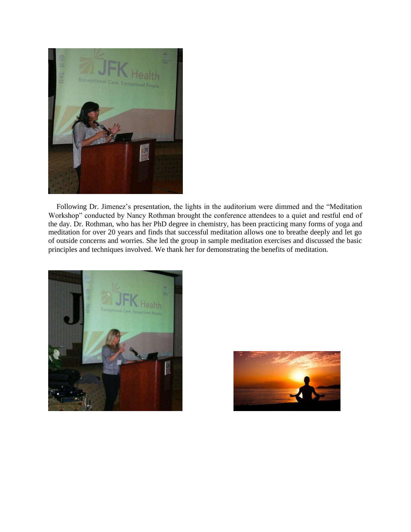

 Following Dr. Jimenez's presentation, the lights in the auditorium were dimmed and the "Meditation Workshop" conducted by Nancy Rothman brought the conference attendees to a quiet and restful end of the day. Dr. Rothman, who has her PhD degree in chemistry, has been practicing many forms of yoga and meditation for over 20 years and finds that successful meditation allows one to breathe deeply and let go of outside concerns and worries. She led the group in sample meditation exercises and discussed the basic principles and techniques involved. We thank her for demonstrating the benefits of meditation.



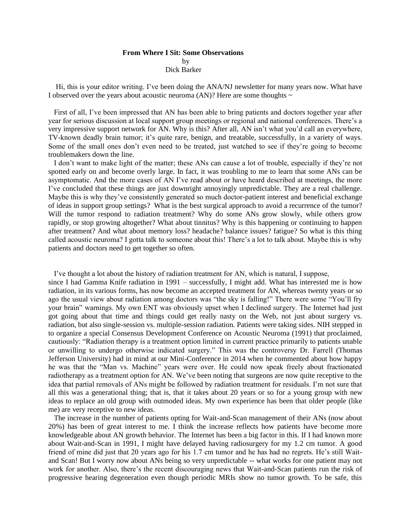## **From Where I Sit: Some Observations** by Dick Barker

Hi, this is your editor writing. I've been doing the ANA/NJ newsletter for many years now. What have I observed over the years about acoustic neuroma (AN)? Here are some thoughts  $\sim$ 

 First of all, I've been impressed that AN has been able to bring patients and doctors together year after year for serious discussion at local support group meetings or regional and national conferences. There's a very impressive support network for AN. Why is this? After all, AN isn't what you'd call an everywhere, TV-known deadly brain tumor; it's quite rare, benign, and treatable, successfully, in a variety of ways. Some of the small ones don't even need to be treated, just watched to see if they're going to become troublemakers down the line.

 I don't want to make light of the matter; these ANs can cause a lot of trouble, especially if they're not spotted early on and become overly large. In fact, it was troubling to me to learn that some ANs can be asymptomatic. And the more cases of AN I've read about or have heard described at meetings, the more I've concluded that these things are just downright annoyingly unpredictable. They are a real challenge. Maybe this is why they've consistently generated so much doctor-patient interest and beneficial exchange of ideas in support group settings? What is the best surgical approach to avoid a recurrence of the tumor? Will the tumor respond to radiation treatment? Why do some ANs grow slowly, while others grow rapidly, or stop growing altogether? What about tinnitus? Why is this happening or continuing to happen after treatment? And what about memory loss? headache? balance issues? fatigue? So what is this thing called acoustic neuroma? I gotta talk to someone about this! There's a lot to talk about. Maybe this is why patients and doctors need to get together so often.

I've thought a lot about the history of radiation treatment for AN, which is natural, I suppose,

since I had Gamma Knife radiation in 1991 – successfully, I might add. What has interested me is how radiation, in its various forms, has now become an accepted treatment for AN, whereas twenty years or so ago the usual view about radiation among doctors was "the sky is falling!" There were some "You'll fry your brain" warnings. My own ENT was obviously upset when I declined surgery. The Internet had just got going about that time and things could get really nasty on the Web, not just about surgery vs. radiation, but also single-session vs. multiple-session radiation. Patients were taking sides. NIH stepped in to organize a special Consensus Development Conference on Acoustic Neuroma (1991) that proclaimed, cautiously: "Radiation therapy is a treatment option limited in current practice primarily to patients unable or unwilling to undergo otherwise indicated surgery." This was the controversy Dr. Farrell (Thomas Jefferson University) had in mind at our Mini-Conference in 2014 when he commented about how happy he was that the "Man vs. Machine" years were over. He could now speak freely about fractionated radiotherapy as a treatment option for AN. We've been noting that surgeons are now quite receptive to the idea that partial removals of ANs might be followed by radiation treatment for residuals. I'm not sure that all this was a generational thing; that is, that it takes about 20 years or so for a young group with new ideas to replace an old group with outmoded ideas. My own experience has been that older people (like me) are very receptive to new ideas.

 The increase in the number of patients opting for Wait-and-Scan management of their ANs (now about 20%) has been of great interest to me. I think the increase reflects how patients have become more knowledgeable about AN growth behavior. The Internet has been a big factor in this. If I had known more about Wait-and-Scan in 1991, I might have delayed having radiosurgery for my 1.2 cm tumor. A good friend of mine did just that 20 years ago for his 1.7 cm tumor and he has had no regrets. He's still Waitand Scan! But I worry now about ANs being so very unpredictable -- what works for one patient may not work for another. Also, there's the recent discouraging news that Wait-and-Scan patients run the risk of progressive hearing degeneration even though periodic MRIs show no tumor growth. To be safe, this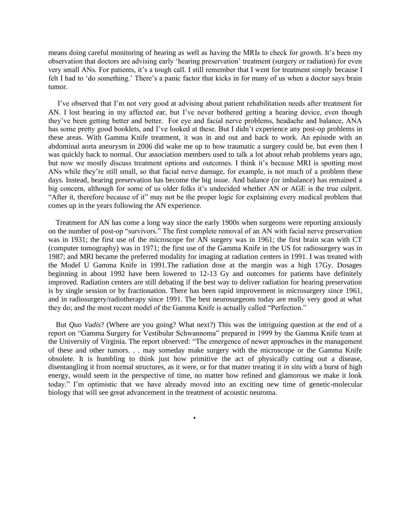means doing careful monitoring of hearing as well as having the MRIs to check for growth. It's been my observation that doctors are advising early 'hearing preservation' treatment (surgery or radiation) for even very small ANs. For patients, it's a tough call. I still remember that I went for treatment simply because I felt I had to 'do something.' There's a panic factor that kicks in for many of us when a doctor says brain tumor.

 I've observed that I'm not very good at advising about patient rehabilitation needs after treatment for AN. I lost hearing in my affected ear, but I've never bothered getting a hearing device, even though they've been getting better and better. For eye and facial nerve problems, headache and balance, ANA has some pretty good booklets, and I've looked at these. But I didn't experience any post-op problems in these areas. With Gamma Knife treatment, it was in and out and back to work. An episode with an abdominal aorta aneurysm in 2006 did wake me up to how traumatic a surgery could be, but even then I was quickly back to normal. Our association members used to talk a lot about rehab problems years ago, but now we mostly discuss treatment options and outcomes. I think it's because MRI is spotting most ANs while they're still small, so that facial nerve damage, for example, is not much of a problem these days. Instead, hearing preservation has become the big issue. And balance (or imbalance) has remained a big concern, although for some of us older folks it's undecided whether AN or AGE is the true culprit. "After it, therefore because of it" may not be the proper logic for explaining every medical problem that comes up in the years following the AN experience.

 Treatment for AN has come a long way since the early 1900s when surgeons were reporting anxiously on the number of post-op "survivors." The first complete removal of an AN with facial nerve preservation was in 1931; the first use of the microscope for AN surgery was in 1961; the first brain scan with CT (computer tomography) was in 1971; the first use of the Gamma Knife in the US for radiosurgery was in 1987; and MRI became the preferred modality for imaging at radiation centers in 1991. I was treated with the Model U Gamma Knife in 1991.The radiation dose at the margin was a high 17Gy. Dosages beginning in about 1992 have been lowered to 12-13 Gy and outcomes for patients have definitely improved. Radiation centers are still debating if the best way to deliver radiation for hearing preservation is by single session or by fractionation. There has been rapid improvement in microsurgery since 1961, and in radiosurgery/radiotherapy since 1991. The best neurosurgeons today are really very good at what they do; and the most recent model of the Gamma Knife is actually called "Perfection."

 But *Quo Vadis*? (Where are you going? What next?) This was the intriguing question at the end of a report on "Gamma Surgery for Vestibular Schwannoma" prepared in 1999 by the Gamma Knife team at the University of Virginia. The report observed: "The emergence of newer approaches in the management of these and other tumors. . . may someday make surgery with the microscope or the Gamma Knife obsolete. It is humbling to think just how primitive the act of physically cutting out a disease, disentangling it from normal structures, as it were, or for that matter treating it *in situ* with a burst of high energy, would seem in the perspective of time, no matter how refined and glamorous we make it look today." I'm optimistic that we have already moved into an exciting new time of genetic-molecular biology that will see great advancement in the treatment of acoustic neuroma.

•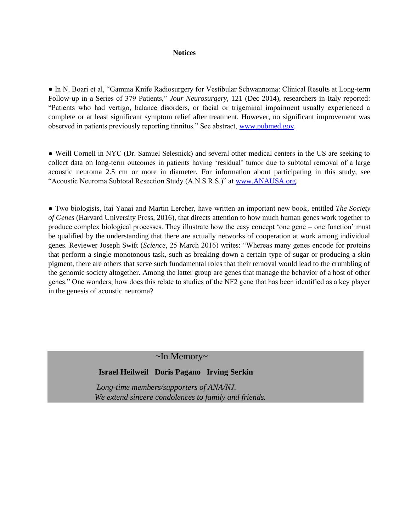#### **Notices**

● In N. Boari et al, "Gamma Knife Radiosurgery for Vestibular Schwannoma: Clinical Results at Long-term Follow-up in a Series of 379 Patients," *Jour Neurosurgery*, 121 (Dec 2014), researchers in Italy reported: "Patients who had vertigo, balance disorders, or facial or trigeminal impairment usually experienced a complete or at least significant symptom relief after treatment. However, no significant improvement was observed in patients previously reporting tinnitus." See abstract, [www.pubmed.gov.](http://www.pubmed.gov/)

● Weill Cornell in NYC (Dr. Samuel Selesnick) and several other medical centers in the US are seeking to collect data on long-term outcomes in patients having 'residual' tumor due to subtotal removal of a large acoustic neuroma 2.5 cm or more in diameter. For information about participating in this study, see "Acoustic Neuroma Subtotal Resection Study (A.N.S.R.S.)" at [www.ANAUSA.org.](http://www.anausa.org/)

● Two biologists, Itai Yanai and Martin Lercher, have written an important new book, entitled *The Society of Genes* (Harvard University Press, 2016), that directs attention to how much human genes work together to produce complex biological processes. They illustrate how the easy concept 'one gene – one function' must be qualified by the understanding that there are actually networks of cooperation at work among individual genes. Reviewer Joseph Swift (*Science*, 25 March 2016) writes: "Whereas many genes encode for proteins that perform a single monotonous task, such as breaking down a certain type of sugar or producing a skin pigment, there are others that serve such fundamental roles that their removal would lead to the crumbling of the genomic society altogether. Among the latter group are genes that manage the behavior of a host of other genes." One wonders, how does this relate to studies of the NF2 gene that has been identified as a key player in the genesis of acoustic neuroma?

# ~In Memory~

## **Israel Heilweil Doris Pagano Irving Serkin**

 *Long-time members/supporters of ANA/NJ. We extend sincere condolences to family and friends.*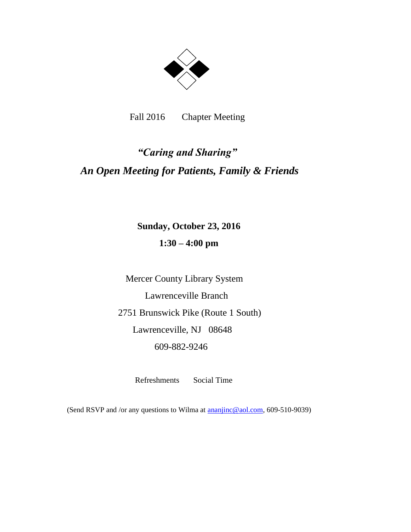

Fall 2016 Chapter Meeting

# *"Caring and Sharing" An Open Meeting for Patients, Family & Friends*

 **Sunday, October 23, 2016 1:30 – 4:00 pm**

 Mercer County Library System Lawrenceville Branch 2751 Brunswick Pike (Route 1 South) Lawrenceville, NJ 08648 609-882-9246

Refreshments Social Time

(Send RSVP and /or any questions to Wilma at **ananjinc@aol.com**, 609-510-9039)